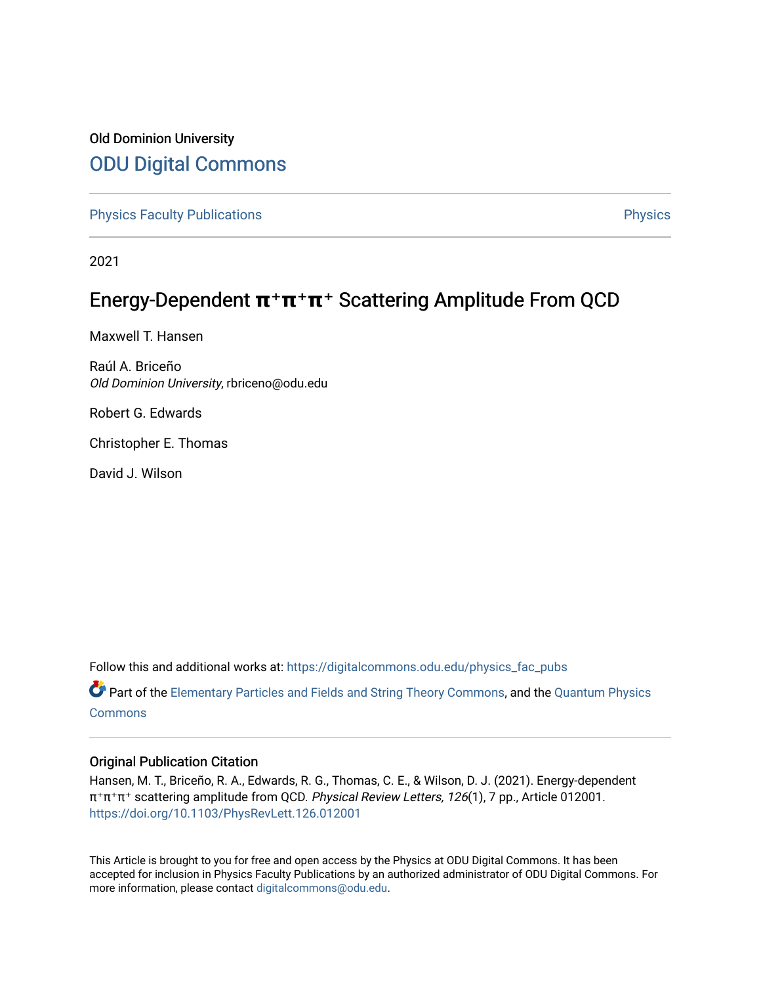## Old Dominion University [ODU Digital Commons](https://digitalcommons.odu.edu/)

[Physics Faculty Publications](https://digitalcommons.odu.edu/physics_fac_pubs) **Physics** [Physics](https://digitalcommons.odu.edu/physics) Physics

2021

## Energy-Dependent  $\pi^+\pi^+\pi^+$  Scattering Amplitude From QCD

Maxwell T. Hansen

Raúl A. Briceño Old Dominion University, rbriceno@odu.edu

Robert G. Edwards

Christopher E. Thomas

David J. Wilson

Follow this and additional works at: [https://digitalcommons.odu.edu/physics\\_fac\\_pubs](https://digitalcommons.odu.edu/physics_fac_pubs?utm_source=digitalcommons.odu.edu%2Fphysics_fac_pubs%2F454&utm_medium=PDF&utm_campaign=PDFCoverPages) 

Part of the [Elementary Particles and Fields and String Theory Commons](http://network.bepress.com/hgg/discipline/199?utm_source=digitalcommons.odu.edu%2Fphysics_fac_pubs%2F454&utm_medium=PDF&utm_campaign=PDFCoverPages), and the [Quantum Physics](http://network.bepress.com/hgg/discipline/206?utm_source=digitalcommons.odu.edu%2Fphysics_fac_pubs%2F454&utm_medium=PDF&utm_campaign=PDFCoverPages) [Commons](http://network.bepress.com/hgg/discipline/206?utm_source=digitalcommons.odu.edu%2Fphysics_fac_pubs%2F454&utm_medium=PDF&utm_campaign=PDFCoverPages)

## Original Publication Citation

Hansen, M. T., Briceño, R. A., Edwards, R. G., Thomas, C. E., & Wilson, D. J. (2021). Energy-dependent π⁺π⁺π⁺ scattering amplitude from QCD. Physical Review Letters, 126(1), 7 pp., Article 012001. <https://doi.org/10.1103/PhysRevLett.126.012001>

This Article is brought to you for free and open access by the Physics at ODU Digital Commons. It has been accepted for inclusion in Physics Faculty Publications by an authorized administrator of ODU Digital Commons. For more information, please contact [digitalcommons@odu.edu.](mailto:digitalcommons@odu.edu)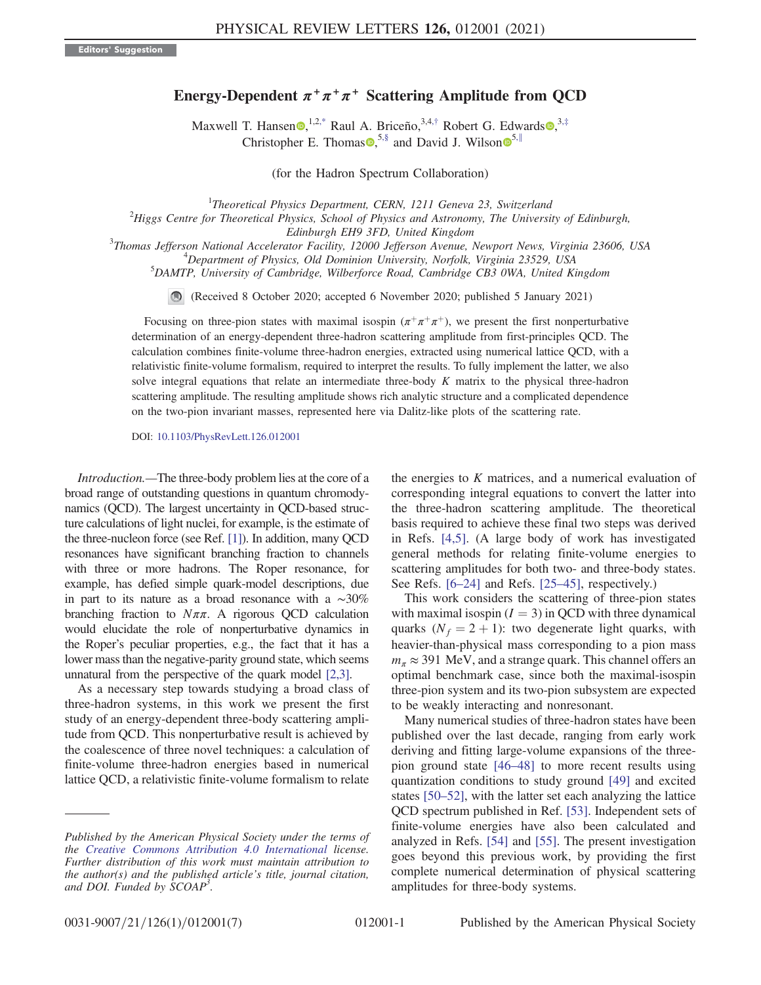## Energy-Dependent  $\pi^+\pi^+\pi^+$  Scattering Amplitude from QCD

Maxwell T. Hansen  $\bullet$ ,  $^{1,2,*}$  $^{1,2,*}$  $^{1,2,*}$  Raul A. Briceño,  $^{3,4,*}$  Robert G. Edwards  $\bullet$ ,  $^{3, \ddag}$ Christopher E. Thomas  $\bullet$ ,  $5,$  $5,$ § and David J. Wilson  $\bullet$ <sup>5,[∥](#page-6-4)</sup>

(for the Hadron Spectrum Collaboration)

<span id="page-1-1"></span><span id="page-1-0"></span><sup>1</sup>Theoretical Physics Department, CERN, 1211 Geneva 23, Switzerland<br><sup>2</sup>Hippe Centre for Theoretical Physics, School of Physics and Astronomy. The University

 $Higgs$  Centre for Theoretical Physics, School of Physics and Astronomy, The University of Edinburgh,

Edinburgh EH9 3FD, United Kingdom<br><sup>3</sup>Thomas Iaffarson National Accelerator Easilip, 12000 Iaffarson Ayanua Thomas Jefferson National Accelerator Facility, 12000 Jefferson Avenue, Newport News, Virginia 23606, USA <sup>4</sup>

 $^4$ Department of Physics, Old Dominion University, Norfolk, Virginia 23529, USA

<sup>5</sup>DAMTP, University of Cambridge, Wilberforce Road, Cambridge CB3 0WA, United Kingdom

(Received 8 October 2020; accepted 6 November 2020; published 5 January 2021)

Focusing on three-pion states with maximal isospin  $(\pi^+\pi^+\pi^+)$ , we present the first nonperturbative determination of an energy-dependent three-hadron scattering amplitude from first-principles QCD. The calculation combines finite-volume three-hadron energies, extracted using numerical lattice QCD, with a relativistic finite-volume formalism, required to interpret the results. To fully implement the latter, we also solve integral equations that relate an intermediate three-body  $K$  matrix to the physical three-hadron scattering amplitude. The resulting amplitude shows rich analytic structure and a complicated dependence on the two-pion invariant masses, represented here via Dalitz-like plots of the scattering rate.

DOI: [10.1103/PhysRevLett.126.012001](https://doi.org/10.1103/PhysRevLett.126.012001)

Introduction.—The three-body problem lies at the core of a broad range of outstanding questions in quantum chromodynamics (QCD). The largest uncertainty in QCD-based structure calculations of light nuclei, for example, is the estimate of the three-nucleon force (see Ref. [\[1\]\)](#page-6-5). In addition, many QCD resonances have significant branching fraction to channels with three or more hadrons. The Roper resonance, for example, has defied simple quark-model descriptions, due in part to its nature as a broad resonance with a ∼30% branching fraction to  $N\pi\pi$ . A rigorous QCD calculation would elucidate the role of nonperturbative dynamics in the Roper's peculiar properties, e.g., the fact that it has a lower mass than the negative-parity ground state, which seems unnatural from the perspective of the quark model [\[2,3\]](#page-6-6).

As a necessary step towards studying a broad class of three-hadron systems, in this work we present the first study of an energy-dependent three-body scattering amplitude from QCD. This nonperturbative result is achieved by the coalescence of three novel techniques: a calculation of finite-volume three-hadron energies based in numerical lattice QCD, a relativistic finite-volume formalism to relate the energies to  $K$  matrices, and a numerical evaluation of corresponding integral equations to convert the latter into the three-hadron scattering amplitude. The theoretical basis required to achieve these final two steps was derived in Refs. [\[4,5\]](#page-6-7). (A large body of work has investigated general methods for relating finite-volume energies to scattering amplitudes for both two- and three-body states. See Refs. [6–[24\]](#page-6-8) and Refs. [\[25](#page-6-9)–45], respectively.)

This work considers the scattering of three-pion states with maximal isospin  $(I = 3)$  in QCD with three dynamical quarks  $(N_f = 2 + 1)$ : two degenerate light quarks, with heavier-than-physical mass corresponding to a pion mass  $m_\pi \approx 391$  MeV, and a strange quark. This channel offers an optimal benchmark case, since both the maximal-isospin three-pion system and its two-pion subsystem are expected to be weakly interacting and nonresonant.

Many numerical studies of three-hadron states have been published over the last decade, ranging from early work deriving and fitting large-volume expansions of the threepion ground state [\[46](#page-6-10)–48] to more recent results using quantization conditions to study ground [\[49\]](#page-6-11) and excited states [50–[52\],](#page-6-12) with the latter set each analyzing the lattice QCD spectrum published in Ref. [\[53\]](#page-6-13). Independent sets of finite-volume energies have also been calculated and analyzed in Refs. [\[54\]](#page-6-14) and [\[55\]](#page-6-15). The present investigation goes beyond this previous work, by providing the first complete numerical determination of physical scattering amplitudes for three-body systems.

Published by the American Physical Society under the terms of the [Creative Commons Attribution 4.0 International](https://creativecommons.org/licenses/by/4.0/) license. Further distribution of this work must maintain attribution to the author(s) and the published article's title, journal citation, and DOI. Funded by SCOAP<sup>3</sup>.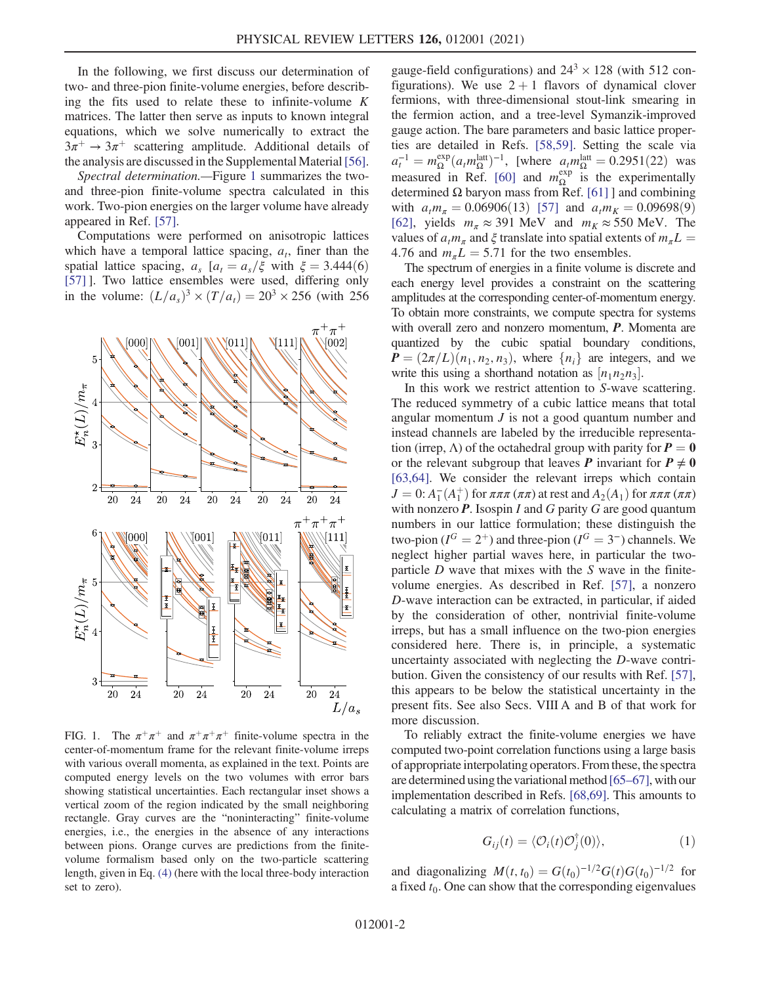In the following, we first discuss our determination of two- and three-pion finite-volume energies, before describing the fits used to relate these to infinite-volume  $K$ matrices. The latter then serve as inputs to known integral equations, which we solve numerically to extract the  $3\pi^+ \rightarrow 3\pi^+$  scattering amplitude. Additional details of the analysis are discussed in the Supplemental Material [\[56\]](#page-6-16).

Spectral determination.—Figure [1](#page-2-0) summarizes the twoand three-pion finite-volume spectra calculated in this work. Two-pion energies on the larger volume have already appeared in Ref. [\[57\].](#page-7-0)

Computations were performed on anisotropic lattices which have a temporal lattice spacing,  $a_t$ , finer than the spatial lattice spacing,  $a_s$  [ $a_t = a_s/\xi$  with  $\xi = 3.444(6)$ [\[57\]](#page-7-0) ]. Two lattice ensembles were used, differing only in the volume:  $(L/a_s)^3 \times (T/a_t) = 20^3 \times 256$  (with 256)

<span id="page-2-0"></span>

FIG. 1. The  $\pi^+\pi^+$  and  $\pi^+\pi^+\pi^+$  finite-volume spectra in the center-of-momentum frame for the relevant finite-volume irreps with various overall momenta, as explained in the text. Points are computed energy levels on the two volumes with error bars showing statistical uncertainties. Each rectangular inset shows a vertical zoom of the region indicated by the small neighboring rectangle. Gray curves are the "noninteracting" finite-volume energies, i.e., the energies in the absence of any interactions between pions. Orange curves are predictions from the finitevolume formalism based only on the two-particle scattering length, given in Eq. [\(4\)](#page-3-0) (here with the local three-body interaction set to zero).

gauge-field configurations) and  $24<sup>3</sup> \times 128$  (with 512 configurations). We use  $2 + 1$  flavors of dynamical clover fermions, with three-dimensional stout-link smearing in the fermion action, and a tree-level Symanzik-improved gauge action. The bare parameters and basic lattice properties are detailed in Refs. [\[58,59\]](#page-7-1). Setting the scale via  $a_t^{-1} = m_{\Omega}^{\text{exp}}(a_t m_{\Omega}^{\text{latt}})^{-1}$ , [where  $a_t m_{\Omega}^{\text{latt}} = 0.2951(22)$  was measured in Ref. [\[60\]](#page-7-2) and  $m_{\Omega}^{\text{exp}}$  is the experimentally determined Ω baryon mass from Ref. [\[61\]](#page-7-3) ] and combining with  $a_t m_\pi = 0.06906(13)$  [\[57\]](#page-7-0) and  $a_t m_K = 0.09698(9)$ [\[62\]](#page-7-4), yields  $m_{\pi} \approx 391$  MeV and  $m_K \approx 550$  MeV. The values of  $a_t m_\pi$  and  $\xi$  translate into spatial extents of  $m_\pi L =$ 4.76 and  $m_{\pi}L = 5.71$  for the two ensembles.

The spectrum of energies in a finite volume is discrete and each energy level provides a constraint on the scattering amplitudes at the corresponding center-of-momentum energy. To obtain more constraints, we compute spectra for systems with overall zero and nonzero momentum, **P**. Momenta are quantized by the cubic spatial boundary conditions,  $P = (2\pi/L)(n_1, n_2, n_3)$ , where  $\{n_i\}$  are integers, and we write this using a shorthand notation as  $[n_1n_2n_3]$ .<br>In this work we restrict attention to S-wave

In this work we restrict attention to S-wave scattering. The reduced symmetry of a cubic lattice means that total angular momentum  $J$  is not a good quantum number and instead channels are labeled by the irreducible representation (irrep,  $\Lambda$ ) of the octahedral group with parity for  $P = 0$ or the relevant subgroup that leaves P invariant for  $P \neq 0$ [\[63,64\]](#page-7-5). We consider the relevant irreps which contain  $J = 0: A_1^-(A_1^+)$  for  $\pi \pi \pi (\pi \pi)$  at rest and  $A_2(A_1)$  for  $\pi \pi \pi (\pi \pi)$ <br>with nonzero **P**. Isosnin *L* and *G* parity *G* are good quantum with nonzero  $P$ . Isospin I and G parity G are good quantum numbers in our lattice formulation; these distinguish the two-pion ( $I^G = 2^+$ ) and three-pion ( $I^G = 3^-$ ) channels. We neglect higher partial waves here, in particular the twoparticle  $D$  wave that mixes with the  $S$  wave in the finitevolume energies. As described in Ref. [\[57\],](#page-7-0) a nonzero D-wave interaction can be extracted, in particular, if aided by the consideration of other, nontrivial finite-volume irreps, but has a small influence on the two-pion energies considered here. There is, in principle, a systematic uncertainty associated with neglecting the D-wave contribution. Given the consistency of our results with Ref. [\[57\]](#page-7-0), this appears to be below the statistical uncertainty in the present fits. See also Secs. VIII A and B of that work for more discussion.

To reliably extract the finite-volume energies we have computed two-point correlation functions using a large basis of appropriate interpolating operators. From these, the spectra are determined using the variational method  $[65–67]$ , with our implementation described in Refs. [\[68,69\]](#page-7-7). This amounts to calculating a matrix of correlation functions,

$$
G_{ij}(t) = \langle \mathcal{O}_i(t)\mathcal{O}_j^{\dagger}(0) \rangle, \tag{1}
$$

and diagonalizing  $M(t,t_0) = G(t_0)^{-1/2} G(t) G(t_0)^{-1/2}$  for a fixed  $t_0$ . One can show that the corresponding eigenvalues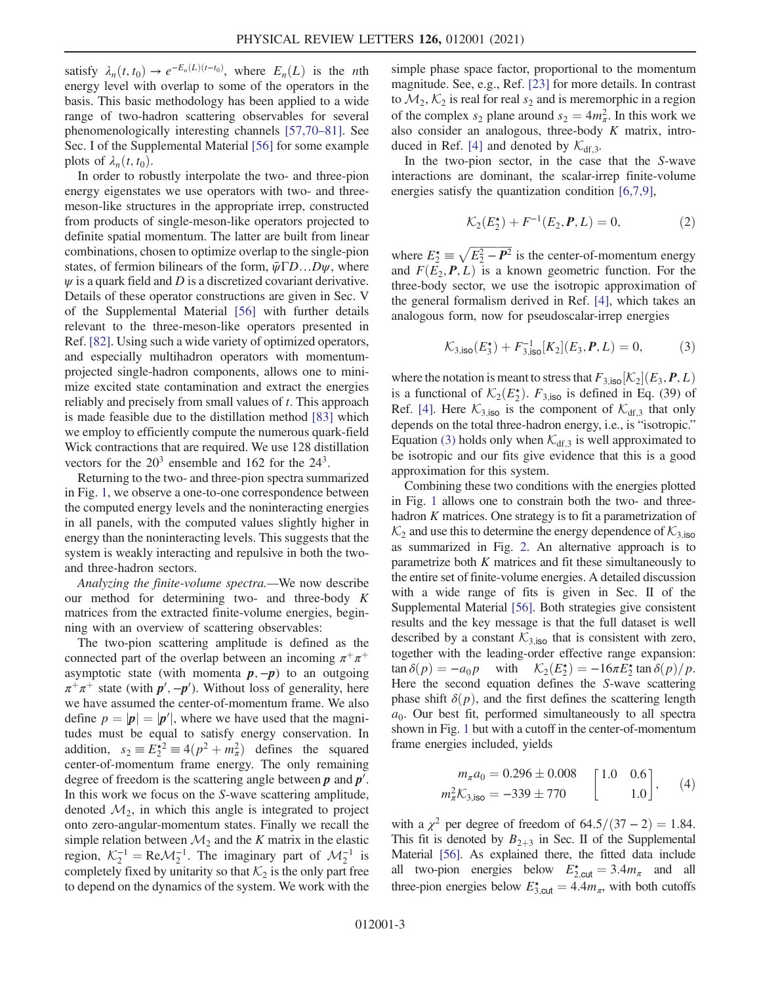satisfy  $\lambda_n(t, t_0) \to e^{-E_n(L)(t-t_0)}$ , where  $E_n(L)$  is the *n*th<br>energy level with overlap to some of the operators in the energy level with overlap to some of the operators in the basis. This basic methodology has been applied to a wide range of two-hadron scattering observables for several phenomenologically interesting channels [\[57,70](#page-7-0)–81]. See Sec. I of the Supplemental Material [\[56\]](#page-6-16) for some example plots of  $\lambda_n(t,t_0)$ .

In order to robustly interpolate the two- and three-pion energy eigenstates we use operators with two- and threemeson-like structures in the appropriate irrep, constructed from products of single-meson-like operators projected to definite spatial momentum. The latter are built from linear combinations, chosen to optimize overlap to the single-pion states, of fermion bilinears of the form,  $\bar{\psi} \Gamma D...D \psi$ , where  $\psi$  is a quark field and D is a discretized covariant derivative. Details of these operator constructions are given in Sec. V of the Supplemental Material [\[56\]](#page-6-16) with further details relevant to the three-meson-like operators presented in Ref. [\[82\]](#page-7-8). Using such a wide variety of optimized operators, and especially multihadron operators with momentumprojected single-hadron components, allows one to minimize excited state contamination and extract the energies reliably and precisely from small values of  $t$ . This approach is made feasible due to the distillation method [\[83\]](#page-7-9) which we employ to efficiently compute the numerous quark-field Wick contractions that are required. We use 128 distillation vectors for the  $20<sup>3</sup>$  ensemble and 162 for the  $24<sup>3</sup>$ .

Returning to the two- and three-pion spectra summarized in Fig. [1,](#page-2-0) we observe a one-to-one correspondence between the computed energy levels and the noninteracting energies in all panels, with the computed values slightly higher in energy than the noninteracting levels. This suggests that the system is weakly interacting and repulsive in both the twoand three-hadron sectors.

Analyzing the finite-volume spectra.—We now describe our method for determining two- and three-body  $K$ matrices from the extracted finite-volume energies, beginning with an overview of scattering observables:

The two-pion scattering amplitude is defined as the connected part of the overlap between an incoming  $\pi^+\pi^+$ asymptotic state (with momenta  $p, -p$ ) to an outgoing  $\pi^+\pi^+$  state (with  $p', -p'$ ). Without loss of generality, here we have assumed the center-of-momentum frame. We also define  $p = |\mathbf{p}| = |\mathbf{p}'|$ , where we have used that the magnitudes must be equal to satisfy energy conservation. In tudes must be equal to satisfy energy conservation. In addition,  $s_2 = E_2^{*2} = 4(p^2 + m_a^2)$  defines the squared<br>center-of-momentum frame energy. The only remaining center-of-momentum frame energy. The only remaining degree of freedom is the scattering angle between  $p$  and  $p'$ . In this work we focus on the S-wave scattering amplitude, denoted  $\mathcal{M}_2$ , in which this angle is integrated to project onto zero-angular-momentum states. Finally we recall the simple relation between  $\mathcal{M}_2$  and the K matrix in the elastic region,  $\mathcal{K}_2^{-1} = \text{Re} \mathcal{M}_2^{-1}$ . The imaginary part of  $\mathcal{M}_2^{-1}$  is completely fixed by unitarity so that  $\mathcal{K}_2$  is the only part free completely fixed by unitarity so that  $K_2$  is the only part free to depend on the dynamics of the system. We work with the simple phase space factor, proportional to the momentum magnitude. See, e.g., Ref. [\[23\]](#page-6-17) for more details. In contrast to  $\mathcal{M}_2$ ,  $\mathcal{K}_2$  is real for real  $s_2$  and is meremorphic in a region of the complex  $s_2$  plane around  $s_2 = 4m_{\pi}^2$ . In this work we<br>also consider an analogous three-body K matrix introalso consider an analogous, three-body  $K$  matrix, intro-duced in Ref. [\[4\]](#page-6-7) and denoted by  $\mathcal{K}_{df,3}$ .

In the two-pion sector, in the case that the S-wave interactions are dominant, the scalar-irrep finite-volume energies satisfy the quantization condition [\[6,7,9\],](#page-6-8)

$$
\mathcal{K}_2(E_2^{\star}) + F^{-1}(E_2, P, L) = 0, \tag{2}
$$

<span id="page-3-1"></span>where  $E_2^* \equiv \sqrt{E_2^2 - P^2}$  is the center-of-momentum energy and  $F(E_2, P, L)$  is a known geometric function. For the three-body sector, we use the isotropic approximation of the general formalism derived in Ref. [\[4\]](#page-6-7), which takes an analogous form, now for pseudoscalar-irrep energies

$$
\mathcal{K}_{3,\mathsf{iso}}(E_3^*) + F_{3,\mathsf{iso}}^{-1}[K_2](E_3,\mathbf{P},L) = 0,\tag{3}
$$

where the notation is meant to stress that  $F_{3,iso}[K_2](E_3, P, L)$ <br>is a functional of  $K_+(F^*)$ ,  $F_{1,1}$  is defined in Eq. (39) of is a functional of  $\mathcal{K}_2(E_2^{\star})$ .  $F_{3,iso}$  is defined in Eq. (39) of Ref. [4]. Here  $\mathcal{K}_{\text{ext}}$  is the component of  $\mathcal{K}_{\text{ext}}$  that only Ref. [\[4\]](#page-6-7). Here  $K_{3,iso}$  is the component of  $K_{df,3}$  that only depends on the total three-hadron energy, i.e., is "isotropic." Equation [\(3\)](#page-3-1) holds only when  $\mathcal{K}_{df,3}$  is well approximated to be isotropic and our fits give evidence that this is a good approximation for this system.

Combining these two conditions with the energies plotted in Fig. [1](#page-2-0) allows one to constrain both the two- and threehadron  $K$  matrices. One strategy is to fit a parametrization of  $\mathcal{K}_2$  and use this to determine the energy dependence of  $\mathcal{K}_{3,iso}$ as summarized in Fig. [2.](#page-4-0) An alternative approach is to parametrize both  $K$  matrices and fit these simultaneously to the entire set of finite-volume energies. A detailed discussion with a wide range of fits is given in Sec. II of the Supplemental Material [\[56\].](#page-6-16) Both strategies give consistent results and the key message is that the full dataset is well described by a constant  $K_{3,iso}$  that is consistent with zero, together with the leading-order effective range expansion:  $\tan \delta(p) = -a_0 p$  with  $\mathcal{K}_2(E_2^*) = -16\pi E_2^* \tan \delta(p)/p$ .<br>Here the second equation defines the S-wave scattering Here the second equation defines the S-wave scattering phase shift  $\delta(p)$ , and the first defines the scattering length  $a_0$ . Our best fit, performed simultaneously to all spectra shown in Fig. [1](#page-2-0) but with a cutoff in the center-of-momentum frame energies included, yields

<span id="page-3-0"></span>
$$
m_{\pi}a_0 = 0.296 \pm 0.008
$$

$$
m_{\pi}^2 \mathcal{K}_{3,\text{iso}} = -339 \pm 770
$$

$$
\begin{bmatrix} 1.0 & 0.6 \\ 1.0 \end{bmatrix}, \quad (4)
$$

with a  $\chi^2$  per degree of freedom of 64.5/(37 – 2) = 1.84. This fit is denoted by  $B_{2+3}$  in Sec. II of the Supplemental Material [\[56\]](#page-6-16). As explained there, the fitted data include all two-pion energies below  $E_{2,\text{cut}}^* = 3.4m_\pi$  and all<br>three pion energies below  $E_{\text{cut}}^* = 4.4m_\pi$  with both cutoffs three-pion energies below  $E_{3,\text{cut}}^* = 4.4m_\pi$ , with both cutoffs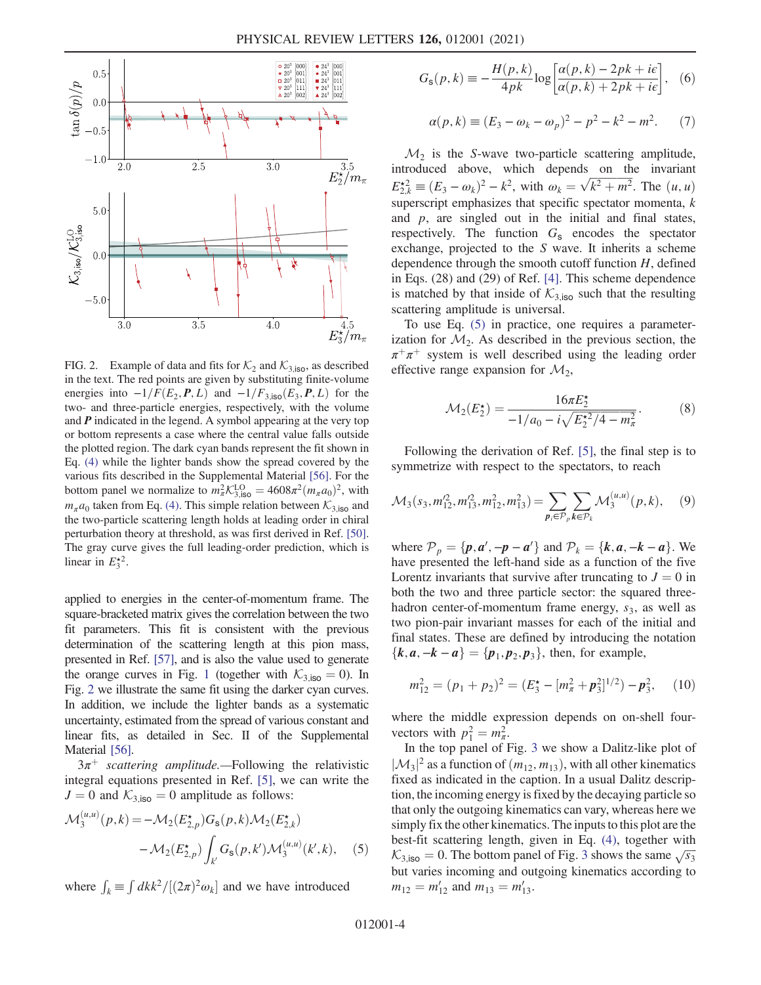<span id="page-4-0"></span>

FIG. 2. Example of data and fits for  $\mathcal{K}_2$  and  $\mathcal{K}_{3,iso}$ , as described in the text. The red points are given by substituting finite-volume energies into  $-1/F(E_2, P, L)$  and  $-1/F_{3,iso}(E_3, P, L)$  for the two- and three-particle energies, respectively, with the volume and  $P$  indicated in the legend. A symbol appearing at the very top or bottom represents a case where the central value falls outside the plotted region. The dark cyan bands represent the fit shown in Eq. [\(4\)](#page-3-0) while the lighter bands show the spread covered by the various fits described in the Supplemental Material [\[56\].](#page-6-16) For the bottom panel we normalize to  $m_R^2 K_{3,iso}^{LO} = 4608\pi^2 (m_\pi a_0)^2$ , with  $m_\pi a$ , telson from Eq. (4). This simple relation between  $K_a$  and  $m_{\pi}a_0$  taken from Eq. [\(4\)](#page-3-0). This simple relation between  $\mathcal{K}_{3,iso}$  and the two-particle scattering length holds at leading order in chiral perturbation theory at threshold, as was first derived in Ref. [\[50\].](#page-6-12) The gray curve gives the full leading-order prediction, which is linear in  $E_3^{\star 2}$ .

applied to energies in the center-of-momentum frame. The square-bracketed matrix gives the correlation between the two fit parameters. This fit is consistent with the previous determination of the scattering length at this pion mass, presented in Ref. [\[57\]](#page-7-0), and is also the value used to generate the orange curves in Fig. [1](#page-2-0) (together with  $K_{3,iso} = 0$ ). In Fig. [2](#page-4-0) we illustrate the same fit using the darker cyan curves. In addition, we include the lighter bands as a systematic uncertainty, estimated from the spread of various constant and linear fits, as detailed in Sec. II of the Supplemental Material [\[56\]](#page-6-16).

<span id="page-4-1"></span> $3\pi^+$  scattering amplitude.—Following the relativistic integral equations presented in Ref. [\[5\]](#page-6-18), we can write the  $J = 0$  and  $K_{3,iso} = 0$  amplitude as follows:

$$
\mathcal{M}_{3}^{(u,u)}(p,k) = -\mathcal{M}_{2}(E_{2,p}^{\star})G_{s}(p,k)\mathcal{M}_{2}(E_{2,k}^{\star})
$$

$$
-\mathcal{M}_{2}(E_{2,p}^{\star})\int_{k'}G_{s}(p,k')\mathcal{M}_{3}^{(u,u)}(k',k), \quad (5)
$$

where  $\int_k \equiv \int dk k^2/[(2\pi)^2 \omega_k]$  and we have introduced

$$
G_{\rm s}(p,k) \equiv -\frac{H(p,k)}{4pk} \log \left[ \frac{\alpha(p,k) - 2pk + i\epsilon}{\alpha(p,k) + 2pk + i\epsilon} \right], \quad (6)
$$

$$
\alpha(p,k) \equiv (E_3 - \omega_k - \omega_p)^2 - p^2 - k^2 - m^2. \tag{7}
$$

 $\mathcal{M}_2$  is the S-wave two-particle scattering amplitude, introduced above, which depends on the invariant  $E_{2k}^{\star 2} \equiv (E_3 - \omega_k)^2 - k^2$ , with  $\omega_k = \sqrt{k^2 + m^2}$ . The  $(u, u)$ <br>expansion explosives that epocific epocitor moments k superscript emphasizes that specific spectator momenta,  $k$ and  $p$ , are singled out in the initial and final states, respectively. The function  $G_s$  encodes the spectator exchange, projected to the S wave. It inherits a scheme dependence through the smooth cutoff function  $H$ , defined in Eqs. (28) and (29) of Ref. [\[4\].](#page-6-7) This scheme dependence is matched by that inside of  $K_{3,iso}$  such that the resulting scattering amplitude is universal.

To use Eq. [\(5\)](#page-4-1) in practice, one requires a parameterization for  $\mathcal{M}_2$ . As described in the previous section, the  $\pi^+\pi^+$  system is well described using the leading order effective range expansion for  $\mathcal{M}_2$ ,

$$
\mathcal{M}_2(E_2^*) = \frac{16\pi E_2^*}{-1/a_0 - i\sqrt{E_2^{*2}/4 - m_\pi^2}}.\tag{8}
$$

Following the derivation of Ref. [\[5\]](#page-6-18), the final step is to symmetrize with respect to the spectators, to reach

$$
\mathcal{M}_3(s_3, m_{12}^{\prime 2}, m_{13}^{\prime 2}, m_{12}^2, m_{13}^2) = \sum_{p_i \in \mathcal{P}_p} \sum_{k \in \mathcal{P}_k} \mathcal{M}_3^{(u,u)}(p,k), \quad (9)
$$

where  $\mathcal{P}_p = \{p, a', -p - a'\}$  and  $\mathcal{P}_k = \{k, a, -k - a\}$ . We have presented the left-hand side as a function of the five have presented the left-hand side as a function of the five Lorentz invariants that survive after truncating to  $J = 0$  in both the two and three particle sector: the squared threehadron center-of-momentum frame energy,  $s_3$ , as well as two pion-pair invariant masses for each of the initial and final states. These are defined by introducing the notation  ${k, a, -k - a} = {p_1, p_2, p_3}$ , then, for example,

$$
m_{12}^2 = (p_1 + p_2)^2 = (E_3^* - [m_\pi^2 + \mathbf{p}_3^2]^{1/2}) - \mathbf{p}_3^2, \quad (10)
$$

where the middle expression depends on on-shell fourvectors with  $p_1^2 = m_\pi^2$ .<br>In the top panel of I

In the top panel of Fig. [3](#page-5-0) we show a Dalitz-like plot of  $|\mathcal{M}_3|^2$  as a function of  $(m_{12}, m_{13})$ , with all other kinematics<br>fixed as indicated in the caption. In a usual Dalitz descripfixed as indicated in the caption. In a usual Dalitz description, the incoming energy is fixed by the decaying particle so that only the outgoing kinematics can vary, whereas here we simply fix the other kinematics. The inputs to this plot are the best-fit scattering length, given in Eq. [\(4\)](#page-3-0), together with  $K_{3,iso} = 0$  $K_{3,iso} = 0$  $K_{3,iso} = 0$ . The bottom panel of Fig. 3 shows the same  $\sqrt{s_3}$ <br>but varies incoming and outgoing kinematics according to but varies incoming and outgoing kinematics according to  $m_{12} = m'_{12}$  and  $m_{13} = m'_{13}$ .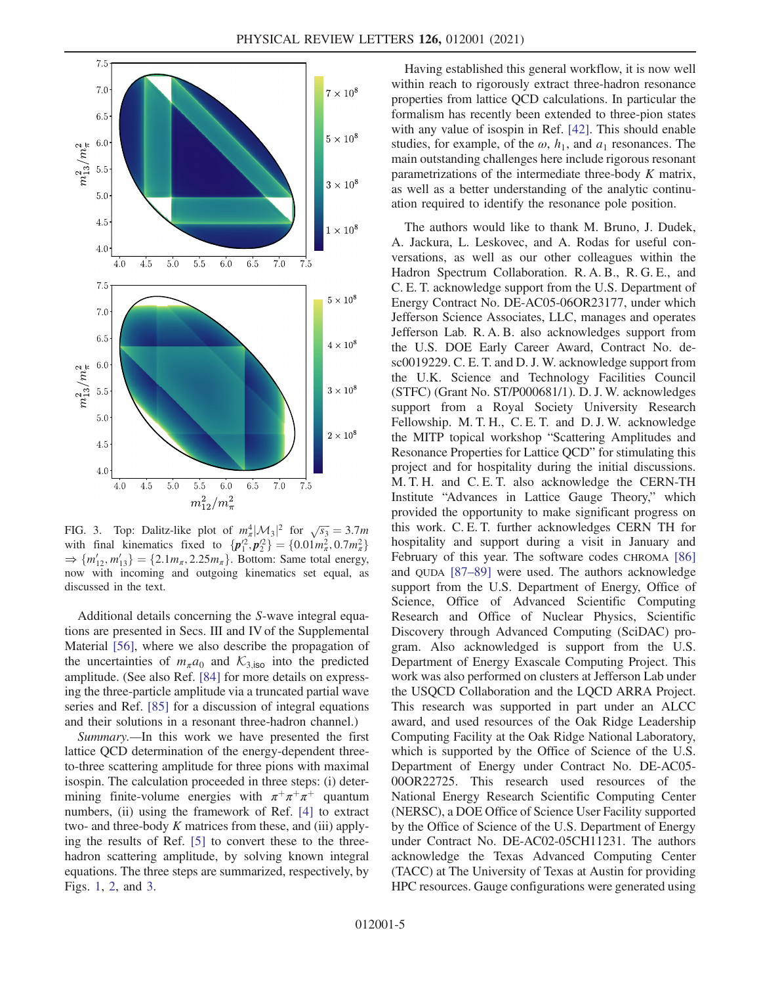<span id="page-5-0"></span>

FIG. 3. Top: Dalitz-like plot of  $m_{\pi}^4 |\mathcal{M}_3|^2$  for  $\sqrt{s_3} = 3.7m$ <br>with final kinematics fixed to  $\int n'^2 n'^2 \cdot 1 = 0.01m^2 \cdot 0.7m^2$ with final kinematics fixed to  $\{p_1^{\prime 2}, p_2^{\prime 2}\} = \{0.01m_\pi^2, 0.7m_\pi^2\}$ <br>  $\rightarrow \{m' \mid m' \mid -12.1m\}$  2.25m \range Rottom: Same total energy with final kinematics fixed to  $\{p_1, p_2\} = \{0.01m_\pi, 0.7m_\pi\}$ <br>  $\Rightarrow \{m'_{12}, m'_{13}\} = \{2.1m_\pi, 2.25m_\pi\}$ . Bottom: Same total energy, now with incoming and outgoing kinematics set equal, as discussed in the text.

Additional details concerning the S-wave integral equations are presented in Secs. III and IV of the Supplemental Material [\[56\]](#page-6-16), where we also describe the propagation of the uncertainties of  $m_{\pi}a_0$  and  $\mathcal{K}_{3,iso}$  into the predicted amplitude. (See also Ref. [\[84\]](#page-7-10) for more details on expressing the three-particle amplitude via a truncated partial wave series and Ref. [\[85\]](#page-7-11) for a discussion of integral equations and their solutions in a resonant three-hadron channel.)

Summary.—In this work we have presented the first lattice QCD determination of the energy-dependent threeto-three scattering amplitude for three pions with maximal isospin. The calculation proceeded in three steps: (i) determining finite-volume energies with  $\pi^+\pi^+\pi^+$  quantum numbers, (ii) using the framework of Ref. [\[4\]](#page-6-7) to extract two- and three-body  $K$  matrices from these, and (iii) applying the results of Ref. [\[5\]](#page-6-18) to convert these to the threehadron scattering amplitude, by solving known integral equations. The three steps are summarized, respectively, by Figs. [1](#page-2-0), [2,](#page-4-0) and [3](#page-5-0).

Having established this general workflow, it is now well within reach to rigorously extract three-hadron resonance properties from lattice QCD calculations. In particular the formalism has recently been extended to three-pion states with any value of isospin in Ref. [\[42\]](#page-6-19). This should enable studies, for example, of the  $\omega$ ,  $h_1$ , and  $a_1$  resonances. The main outstanding challenges here include rigorous resonant parametrizations of the intermediate three-body K matrix, as well as a better understanding of the analytic continuation required to identify the resonance pole position.

The authors would like to thank M. Bruno, J. Dudek, A. Jackura, L. Leskovec, and A. Rodas for useful conversations, as well as our other colleagues within the Hadron Spectrum Collaboration. R. A. B., R. G. E., and C. E. T. acknowledge support from the U.S. Department of Energy Contract No. DE-AC05-06OR23177, under which Jefferson Science Associates, LLC, manages and operates Jefferson Lab. R. A. B. also acknowledges support from the U.S. DOE Early Career Award, Contract No. desc0019229. C. E. T. and D. J. W. acknowledge support from the U.K. Science and Technology Facilities Council (STFC) (Grant No. ST/P000681/1). D. J. W. acknowledges support from a Royal Society University Research Fellowship. M. T. H., C. E. T. and D. J. W. acknowledge the MITP topical workshop "Scattering Amplitudes and Resonance Properties for Lattice QCD" for stimulating this project and for hospitality during the initial discussions. M. T. H. and C. E. T. also acknowledge the CERN-TH Institute "Advances in Lattice Gauge Theory," which provided the opportunity to make significant progress on this work. C. E. T. further acknowledges CERN TH for hospitality and support during a visit in January and February of this year. The software codes CHROMA [\[86\]](#page-7-12) and QUDA [\[87](#page-7-13)–89] were used. The authors acknowledge support from the U.S. Department of Energy, Office of Science, Office of Advanced Scientific Computing Research and Office of Nuclear Physics, Scientific Discovery through Advanced Computing (SciDAC) program. Also acknowledged is support from the U.S. Department of Energy Exascale Computing Project. This work was also performed on clusters at Jefferson Lab under the USQCD Collaboration and the LQCD ARRA Project. This research was supported in part under an ALCC award, and used resources of the Oak Ridge Leadership Computing Facility at the Oak Ridge National Laboratory, which is supported by the Office of Science of the U.S. Department of Energy under Contract No. DE-AC05- 00OR22725. This research used resources of the National Energy Research Scientific Computing Center (NERSC), a DOE Office of Science User Facility supported by the Office of Science of the U.S. Department of Energy under Contract No. DE-AC02-05CH11231. The authors acknowledge the Texas Advanced Computing Center (TACC) at The University of Texas at Austin for providing HPC resources. Gauge configurations were generated using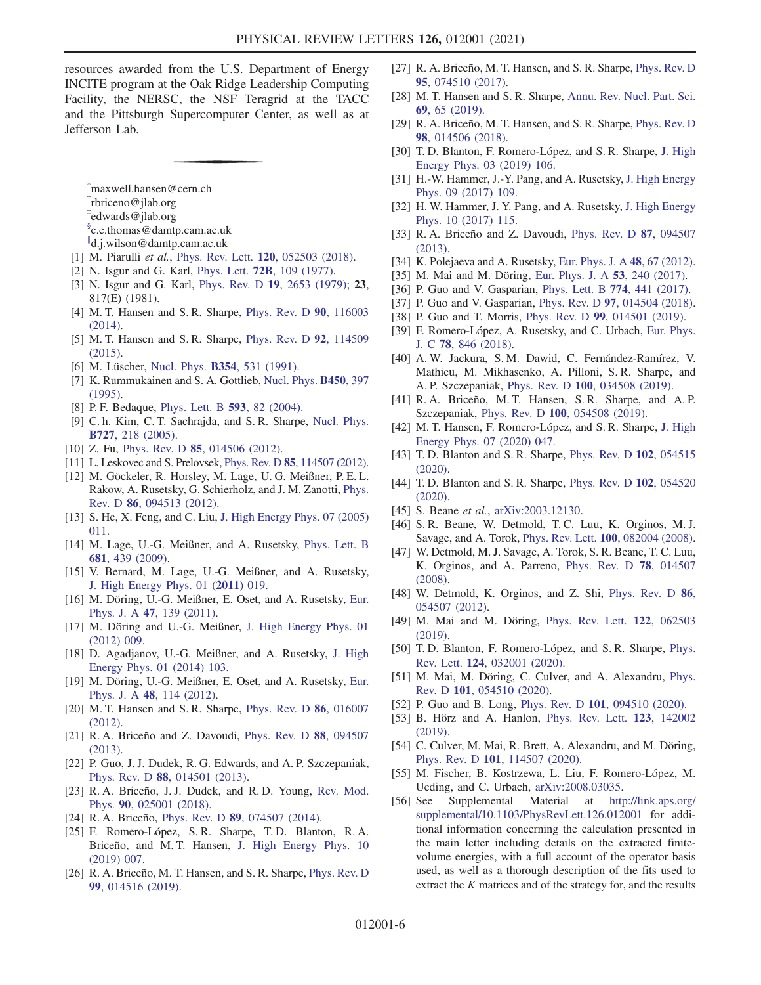resources awarded from the U.S. Department of Energy INCITE program at the Oak Ridge Leadership Computing Facility, the NERSC, the NSF Teragrid at the TACC and the Pittsburgh Supercomputer Center, as well as at Jefferson Lab.

<span id="page-6-1"></span><span id="page-6-0"></span>[\\*](#page-1-0) maxwell.hansen@cern.ch

- <span id="page-6-2"></span>[†](#page-1-0) rbriceno@jlab.org
- <span id="page-6-3"></span>[‡](#page-1-0) edwards@jlab.org

<span id="page-6-4"></span>[§](#page-1-1) c.e.thomas@damtp.cam.ac.uk

- <span id="page-6-5"></span>[∥](#page-1-1) d.j.wilson@damtp.cam.ac.uk
- <span id="page-6-6"></span>[1] M. Piarulli et al., Phys. Rev. Lett. **120**[, 052503 \(2018\)](https://doi.org/10.1103/PhysRevLett.120.052503).
- [2] N. Isgur and G. Karl, Phys. Lett. 72B[, 109 \(1977\)](https://doi.org/10.1016/0370-2693(77)90074-0).
- <span id="page-6-7"></span>[3] N. Isgur and G. Karl, Phys. Rev. D 19[, 2653 \(1979\);](https://doi.org/10.1103/PhysRevD.19.2653) 23, 817(E) (1981).
- <span id="page-6-18"></span>[4] M. T. Hansen and S. R. Sharpe, [Phys. Rev. D](https://doi.org/10.1103/PhysRevD.90.116003) 90, 116003 [\(2014\).](https://doi.org/10.1103/PhysRevD.90.116003)
- <span id="page-6-8"></span>[5] M. T. Hansen and S. R. Sharpe, [Phys. Rev. D](https://doi.org/10.1103/PhysRevD.92.114509) 92, 114509 [\(2015\).](https://doi.org/10.1103/PhysRevD.92.114509)
- [6] M. Lüscher, Nucl. Phys. **B354**[, 531 \(1991\).](https://doi.org/10.1016/0550-3213(91)90366-6)
- [7] K. Rummukainen and S. A. Gottlieb, [Nucl. Phys.](https://doi.org/10.1016/0550-3213(95)00313-H) **B450**, 397 [\(1995\).](https://doi.org/10.1016/0550-3213(95)00313-H)
- [8] P. F. Bedaque, [Phys. Lett. B](https://doi.org/10.1016/j.physletb.2004.04.045) **593**, 82 (2004).
- [9] C. h. Kim, C. T. Sachrajda, and S. R. Sharpe, [Nucl. Phys.](https://doi.org/10.1016/j.nuclphysb.2005.08.029) B727[, 218 \(2005\).](https://doi.org/10.1016/j.nuclphysb.2005.08.029)
- [10] Z. Fu, Phys. Rev. D 85[, 014506 \(2012\).](https://doi.org/10.1103/PhysRevD.85.014506)
- [11] L. Leskovec and S. Prelovsek, Phys. Rev. D 85[, 114507 \(2012\).](https://doi.org/10.1103/PhysRevD.85.114507)
- [12] M. Göckeler, R. Horsley, M. Lage, U. G. Meißner, P. E. L. Rakow, A. Rusetsky, G. Schierholz, and J. M. Zanotti, [Phys.](https://doi.org/10.1103/PhysRevD.86.094513) Rev. D 86[, 094513 \(2012\)](https://doi.org/10.1103/PhysRevD.86.094513).
- [13] S. He, X. Feng, and C. Liu, [J. High Energy Phys. 07 \(2005\)](https://doi.org/10.1088/1126-6708/2005/07/011) [011.](https://doi.org/10.1088/1126-6708/2005/07/011)
- [14] M. Lage, U.-G. Meißner, and A. Rusetsky, [Phys. Lett. B](https://doi.org/10.1016/j.physletb.2009.10.055) 681[, 439 \(2009\)](https://doi.org/10.1016/j.physletb.2009.10.055).
- [15] V. Bernard, M. Lage, U.-G. Meißner, and A. Rusetsky, [J. High Energy Phys. 01 \(](https://doi.org/10.1007/JHEP01(2011)019)2011) 019.
- [16] M. Döring, U.-G. Meißner, E. Oset, and A. Rusetsky, [Eur.](https://doi.org/10.1140/epja/i2011-11139-7) Phys. J. A 47[, 139 \(2011\)](https://doi.org/10.1140/epja/i2011-11139-7).
- [17] M. Döring and U.-G. Meißner, [J. High Energy Phys. 01](https://doi.org/10.1007/JHEP01(2012)009) [\(2012\) 009.](https://doi.org/10.1007/JHEP01(2012)009)
- [18] D. Agadjanov, U.-G. Meißner, and A. Rusetsky, [J. High](https://doi.org/10.1007/JHEP01(2014)103) [Energy Phys. 01 \(2014\) 103.](https://doi.org/10.1007/JHEP01(2014)103)
- [19] M. Döring, U.-G. Meißner, E. Oset, and A. Rusetsky, [Eur.](https://doi.org/10.1140/epja/i2012-12114-6) Phys. J. A 48[, 114 \(2012\)](https://doi.org/10.1140/epja/i2012-12114-6).
- [20] M. T. Hansen and S. R. Sharpe, [Phys. Rev. D](https://doi.org/10.1103/PhysRevD.86.016007) 86, 016007 [\(2012\).](https://doi.org/10.1103/PhysRevD.86.016007)
- [21] R. A. Briceño and Z. Davoudi, [Phys. Rev. D](https://doi.org/10.1103/PhysRevD.88.094507) 88, 094507 [\(2013\).](https://doi.org/10.1103/PhysRevD.88.094507)
- <span id="page-6-17"></span>[22] P. Guo, J. J. Dudek, R. G. Edwards, and A. P. Szczepaniak, Phys. Rev. D 88[, 014501 \(2013\)](https://doi.org/10.1103/PhysRevD.88.014501).
- [23] R. A. Briceño, J. J. Dudek, and R. D. Young, [Rev. Mod.](https://doi.org/10.1103/RevModPhys.90.025001) Phys. 90[, 025001 \(2018\)](https://doi.org/10.1103/RevModPhys.90.025001).
- <span id="page-6-9"></span>[24] R. A. Briceño, Phys. Rev. D **89**[, 074507 \(2014\)](https://doi.org/10.1103/PhysRevD.89.074507).
- [25] F. Romero-López, S. R. Sharpe, T. D. Blanton, R. A. Briceño, and M. T. Hansen, [J. High Energy Phys. 10](https://doi.org/10.1007/JHEP10(2019)007) [\(2019\) 007.](https://doi.org/10.1007/JHEP10(2019)007)
- [26] R. A. Briceño, M. T. Hansen, and S. R. Sharpe, [Phys. Rev. D](https://doi.org/10.1103/PhysRevD.99.014516) 99[, 014516 \(2019\).](https://doi.org/10.1103/PhysRevD.99.014516)
- [27] R. A. Briceño, M. T. Hansen, and S. R. Sharpe, [Phys. Rev. D](https://doi.org/10.1103/PhysRevD.95.074510) 95[, 074510 \(2017\).](https://doi.org/10.1103/PhysRevD.95.074510)
- [28] M. T. Hansen and S. R. Sharpe, [Annu. Rev. Nucl. Part. Sci.](https://doi.org/10.1146/annurev-nucl-101918-023723) 69[, 65 \(2019\).](https://doi.org/10.1146/annurev-nucl-101918-023723)
- [29] R. A. Briceño, M. T. Hansen, and S. R. Sharpe, [Phys. Rev. D](https://doi.org/10.1103/PhysRevD.98.014506) 98[, 014506 \(2018\).](https://doi.org/10.1103/PhysRevD.98.014506)
- [30] T. D. Blanton, F. Romero-López, and S. R. Sharpe, [J. High](https://doi.org/10.1007/JHEP03(2019)106) [Energy Phys. 03 \(2019\) 106.](https://doi.org/10.1007/JHEP03(2019)106)
- [31] H.-W. Hammer, J.-Y. Pang, and A. Rusetsky, [J. High Energy](https://doi.org/10.1007/JHEP09(2017)109) [Phys. 09 \(2017\) 109.](https://doi.org/10.1007/JHEP09(2017)109)
- [32] H. W. Hammer, J. Y. Pang, and A. Rusetsky, [J. High Energy](https://doi.org/10.1007/JHEP10(2017)115) [Phys. 10 \(2017\) 115.](https://doi.org/10.1007/JHEP10(2017)115)
- [33] R. A. Briceño and Z. Davoudi, [Phys. Rev. D](https://doi.org/10.1103/PhysRevD.87.094507) 87, 094507 [\(2013\).](https://doi.org/10.1103/PhysRevD.87.094507)
- [34] K. Polejaeva and A. Rusetsky, [Eur. Phys. J. A](https://doi.org/10.1140/epja/i2012-12067-8) 48, 67 (2012).
- [35] M. Mai and M. Döring, [Eur. Phys. J. A](https://doi.org/10.1140/epja/i2017-12440-1) 53, 240 (2017).
- [36] P. Guo and V. Gasparian, [Phys. Lett. B](https://doi.org/10.1016/j.physletb.2017.10.009) **774**, 441 (2017).
- [37] P. Guo and V. Gasparian, Phys. Rev. D 97[, 014504 \(2018\).](https://doi.org/10.1103/PhysRevD.97.014504)
- [38] P. Guo and T. Morris, Phys. Rev. D 99[, 014501 \(2019\)](https://doi.org/10.1103/PhysRevD.99.014501).
- [39] F. Romero-López, A. Rusetsky, and C. Urbach, [Eur. Phys.](https://doi.org/10.1140/epjc/s10052-018-6325-8) J. C 78[, 846 \(2018\).](https://doi.org/10.1140/epjc/s10052-018-6325-8)
- [40] A. W. Jackura, S. M. Dawid, C. Fernández-Ramírez, V. Mathieu, M. Mikhasenko, A. Pilloni, S. R. Sharpe, and A. P. Szczepaniak, Phys. Rev. D 100[, 034508 \(2019\)](https://doi.org/10.1103/PhysRevD.100.034508).
- [41] R. A. Briceño, M. T. Hansen, S. R. Sharpe, and A. P. Szczepaniak, Phys. Rev. D 100[, 054508 \(2019\).](https://doi.org/10.1103/PhysRevD.100.054508)
- <span id="page-6-19"></span>[42] M. T. Hansen, F. Romero-López, and S. R. Sharpe, [J. High](https://doi.org/10.1007/JHEP07(2020)047) [Energy Phys. 07 \(2020\) 047.](https://doi.org/10.1007/JHEP07(2020)047)
- [43] T.D. Blanton and S.R. Sharpe, [Phys. Rev. D](https://doi.org/10.1103/PhysRevD.102.054515) 102, 054515 [\(2020\).](https://doi.org/10.1103/PhysRevD.102.054515)
- [44] T.D. Blanton and S.R. Sharpe, [Phys. Rev. D](https://doi.org/10.1103/PhysRevD.102.054520) 102, 054520 [\(2020\).](https://doi.org/10.1103/PhysRevD.102.054520)
- <span id="page-6-10"></span>[45] S. Beane et al., [arXiv:2003.12130](https://arXiv.org/abs/2003.12130).
- [46] S. R. Beane, W. Detmold, T. C. Luu, K. Orginos, M. J. Savage, and A. Torok, Phys. Rev. Lett. 100[, 082004 \(2008\).](https://doi.org/10.1103/PhysRevLett.100.082004)
- [47] W. Detmold, M. J. Savage, A. Torok, S. R. Beane, T. C. Luu, K. Orginos, and A. Parreno, [Phys. Rev. D](https://doi.org/10.1103/PhysRevD.78.014507) 78, 014507 [\(2008\).](https://doi.org/10.1103/PhysRevD.78.014507)
- [48] W. Detmold, K. Orginos, and Z. Shi, [Phys. Rev. D](https://doi.org/10.1103/PhysRevD.86.054507) 86, [054507 \(2012\).](https://doi.org/10.1103/PhysRevD.86.054507)
- <span id="page-6-11"></span>[49] M. Mai and M. Döring, [Phys. Rev. Lett.](https://doi.org/10.1103/PhysRevLett.122.062503) 122, 062503 [\(2019\).](https://doi.org/10.1103/PhysRevLett.122.062503)
- <span id="page-6-12"></span>[50] T. D. Blanton, F. Romero-López, and S. R. Sharpe, [Phys.](https://doi.org/10.1103/PhysRevLett.124.032001) Rev. Lett. 124[, 032001 \(2020\).](https://doi.org/10.1103/PhysRevLett.124.032001)
- [51] M. Mai, M. Döring, C. Culver, and A. Alexandru, [Phys.](https://doi.org/10.1103/PhysRevD.101.054510) Rev. D 101[, 054510 \(2020\)](https://doi.org/10.1103/PhysRevD.101.054510).
- <span id="page-6-13"></span>[52] P. Guo and B. Long, Phys. Rev. D 101[, 094510 \(2020\).](https://doi.org/10.1103/PhysRevD.101.094510)
- [53] B. Hörz and A. Hanlon, [Phys. Rev. Lett.](https://doi.org/10.1103/PhysRevLett.123.142002) 123, 142002 [\(2019\).](https://doi.org/10.1103/PhysRevLett.123.142002)
- <span id="page-6-14"></span>[54] C. Culver, M. Mai, R. Brett, A. Alexandru, and M. Döring, Phys. Rev. D 101[, 114507 \(2020\)](https://doi.org/10.1103/PhysRevD.101.114507).
- <span id="page-6-15"></span>[55] M. Fischer, B. Kostrzewa, L. Liu, F. Romero-López, M. Ueding, and C. Urbach, [arXiv:2008.03035.](https://arXiv.org/abs/2008.03035)
- <span id="page-6-16"></span>[56] See Supplemental Material at [http://link.aps.org/](http://link.aps.org/supplemental/10.1103/PhysRevLett.126.012001) [supplemental/10.1103/PhysRevLett.126.012001](http://link.aps.org/supplemental/10.1103/PhysRevLett.126.012001) for additional information concerning the calculation presented in the main letter including details on the extracted finitevolume energies, with a full account of the operator basis used, as well as a thorough description of the fits used to extract the  $K$  matrices and of the strategy for, and the results